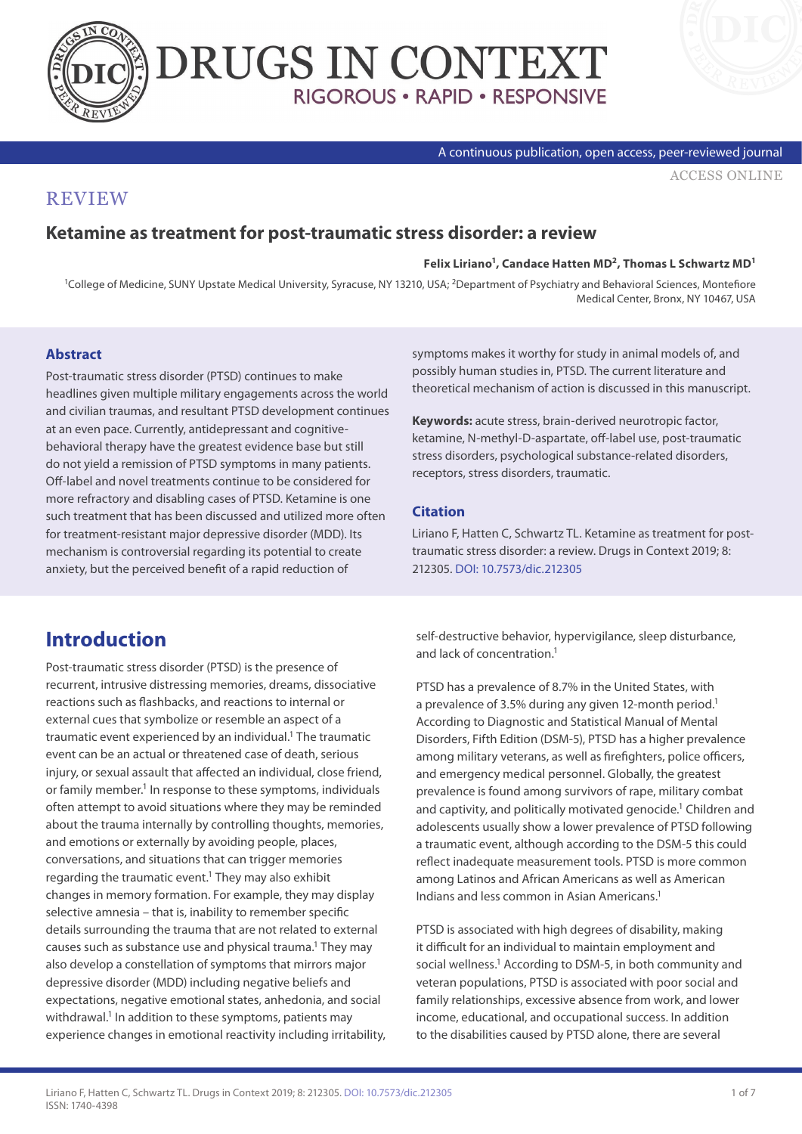



#### A continuous publication, open access, peer-reviewed journal

[ACCESS ONLINE](https://drugsincontext.com/ketamine-as-treatment-for-post-traumatic-stress-disorder:-a-review)

### **REVIEW**

### **Ketamine as treatment for post-traumatic stress disorder: a review**

#### **Felix Liriano1, Candace Hatten MD2, Thomas L Schwartz MD1**

<sup>1</sup>College of Medicine, SUNY Upstate Medical University, Syracuse, NY 13210, USA; <sup>2</sup>Department of Psychiatry and Behavioral Sciences, Montefiore Medical Center, Bronx, NY 10467, USA

#### **Abstract**

Post-traumatic stress disorder (PTSD) continues to make headlines given multiple military engagements across the world and civilian traumas, and resultant PTSD development continues at an even pace. Currently, antidepressant and cognitivebehavioral therapy have the greatest evidence base but still do not yield a remission of PTSD symptoms in many patients. Off-label and novel treatments continue to be considered for more refractory and disabling cases of PTSD. Ketamine is one such treatment that has been discussed and utilized more often for treatment-resistant major depressive disorder (MDD). Its mechanism is controversial regarding its potential to create anxiety, but the perceived benefit of a rapid reduction of

symptoms makes it worthy for study in animal models of, and possibly human studies in, PTSD. The current literature and theoretical mechanism of action is discussed in this manuscript.

**Keywords:** acute stress, brain-derived neurotropic factor, ketamine, N-methyl-D-aspartate, off-label use, post-traumatic stress disorders, psychological substance-related disorders, receptors, stress disorders, traumatic.

#### **Citation**

Liriano F, Hatten C, Schwartz TL. Ketamine as treatment for posttraumatic stress disorder: a review. Drugs in Context 2019; 8: 212305. [DOI: 10.7573/dic.212305](https://doi.org/10.7573/dic.212305)

## **Introduction**

Post-traumatic stress disorder (PTSD) is the presence of recurrent, intrusive distressing memories, dreams, dissociative reactions such as flashbacks, and reactions to internal or external cues that symbolize or resemble an aspect of a traumatic event experienced by an individual.<sup>1</sup> The traumatic event can be an actual or threatened case of death, serious injury, or sexual assault that affected an individual, close friend, or family member.<sup>1</sup> In response to these symptoms, individuals often attempt to avoid situations where they may be reminded about the trauma internally by controlling thoughts, memories, and emotions or externally by avoiding people, places, conversations, and situations that can trigger memories regarding the traumatic event.<sup>1</sup> They may also exhibit changes in memory formation. For example, they may display selective amnesia – that is, inability to remember specific details surrounding the trauma that are not related to external causes such as substance use and physical trauma.<sup>1</sup> They may also develop a constellation of symptoms that mirrors major depressive disorder (MDD) including negative beliefs and expectations, negative emotional states, anhedonia, and social withdrawal.<sup>1</sup> In addition to these symptoms, patients may experience changes in emotional reactivity including irritability, self-destructive behavior, hypervigilance, sleep disturbance, and lack of concentration.<sup>1</sup>

PTSD has a prevalence of 8.7% in the United States, with a prevalence of 3.5% during any given 12-month period.<sup>1</sup> According to Diagnostic and Statistical Manual of Mental Disorders, Fifth Edition (DSM-5), PTSD has a higher prevalence among military veterans, as well as firefighters, police officers, and emergency medical personnel. Globally, the greatest prevalence is found among survivors of rape, military combat and captivity, and politically motivated genocide.<sup>1</sup> Children and adolescents usually show a lower prevalence of PTSD following a traumatic event, although according to the DSM-5 this could reflect inadequate measurement tools. PTSD is more common among Latinos and African Americans as well as American Indians and less common in Asian Americans.1

PTSD is associated with high degrees of disability, making it difficult for an individual to maintain employment and social wellness.<sup>1</sup> According to DSM-5, in both community and veteran populations, PTSD is associated with poor social and family relationships, excessive absence from work, and lower income, educational, and occupational success. In addition to the disabilities caused by PTSD alone, there are several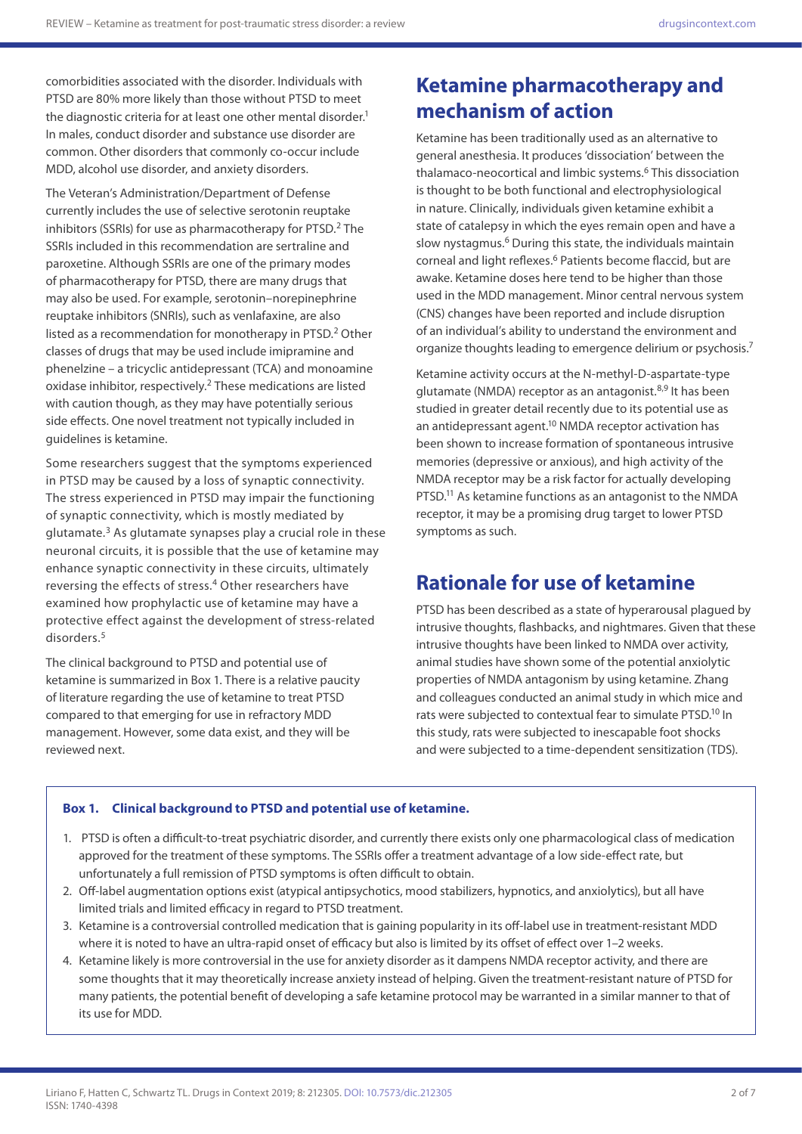comorbidities associated with the disorder. Individuals with PTSD are 80% more likely than those without PTSD to meet the diagnostic criteria for at least one other mental disorder.<sup>1</sup> In males, conduct disorder and substance use disorder are common. Other disorders that commonly co-occur include MDD, alcohol use disorder, and anxiety disorders.

The Veteran's Administration/Department of Defense currently includes the use of selective serotonin reuptake inhibitors (SSRIs) for use as pharmacotherapy for PTSD.<sup>2</sup> The SSRIs included in this recommendation are sertraline and paroxetine. Although SSRIs are one of the primary modes of pharmacotherapy for PTSD, there are many drugs that may also be used. For example, serotonin–norepinephrine reuptake inhibitors (SNRIs), such as venlafaxine, are also listed as a recommendation for monotherapy in PTSD.<sup>2</sup> Other classes of drugs that may be used include imipramine and phenelzine – a tricyclic antidepressant (TCA) and monoamine oxidase inhibitor, respectively.2 These medications are listed with caution though, as they may have potentially serious side effects. One novel treatment not typically included in guidelines is ketamine.

Some researchers suggest that the symptoms experienced in PTSD may be caused by a loss of synaptic connectivity. The stress experienced in PTSD may impair the functioning of synaptic connectivity, which is mostly mediated by glutamate.<sup>3</sup> As glutamate synapses play a crucial role in these neuronal circuits, it is possible that the use of ketamine may enhance synaptic connectivity in these circuits, ultimately reversing the effects of stress.<sup>4</sup> Other researchers have examined how prophylactic use of ketamine may have a protective effect against the development of stress-related disorders.<sup>5</sup>

The clinical background to PTSD and potential use of ketamine is summarized in Box 1. There is a relative paucity of literature regarding the use of ketamine to treat PTSD compared to that emerging for use in refractory MDD management. However, some data exist, and they will be reviewed next.

# **Ketamine pharmacotherapy and mechanism of action**

Ketamine has been traditionally used as an alternative to general anesthesia. It produces 'dissociation' between the thalamaco-neocortical and limbic systems.<sup>6</sup> This dissociation is thought to be both functional and electrophysiological in nature. Clinically, individuals given ketamine exhibit a state of catalepsy in which the eyes remain open and have a slow nystagmus.<sup>6</sup> During this state, the individuals maintain corneal and light reflexes.6 Patients become flaccid, but are awake. Ketamine doses here tend to be higher than those used in the MDD management. Minor central nervous system (CNS) changes have been reported and include disruption of an individual's ability to understand the environment and organize thoughts leading to emergence delirium or psychosis.7

Ketamine activity occurs at the N-methyl-D-aspartate-type glutamate (NMDA) receptor as an antagonist.<sup>8,9</sup> It has been studied in greater detail recently due to its potential use as an antidepressant agent.<sup>10</sup> NMDA receptor activation has been shown to increase formation of spontaneous intrusive memories (depressive or anxious), and high activity of the NMDA receptor may be a risk factor for actually developing PTSD.11 As ketamine functions as an antagonist to the NMDA receptor, it may be a promising drug target to lower PTSD symptoms as such.

## **Rationale for use of ketamine**

PTSD has been described as a state of hyperarousal plagued by intrusive thoughts, flashbacks, and nightmares. Given that these intrusive thoughts have been linked to NMDA over activity, animal studies have shown some of the potential anxiolytic properties of NMDA antagonism by using ketamine. Zhang and colleagues conducted an animal study in which mice and rats were subjected to contextual fear to simulate PTSD.10 In this study, rats were subjected to inescapable foot shocks and were subjected to a time-dependent sensitization (TDS).

#### **Box 1. Clinical background to PTSD and potential use of ketamine.**

- 1. PTSD is often a difficult-to-treat psychiatric disorder, and currently there exists only one pharmacological class of medication approved for the treatment of these symptoms. The SSRIs offer a treatment advantage of a low side-effect rate, but unfortunately a full remission of PTSD symptoms is often difficult to obtain.
- 2. Off-label augmentation options exist (atypical antipsychotics, mood stabilizers, hypnotics, and anxiolytics), but all have limited trials and limited efficacy in regard to PTSD treatment.
- 3. Ketamine is a controversial controlled medication that is gaining popularity in its off-label use in treatment-resistant MDD where it is noted to have an ultra-rapid onset of efficacy but also is limited by its offset of effect over 1-2 weeks.
- 4. Ketamine likely is more controversial in the use for anxiety disorder as it dampens NMDA receptor activity, and there are some thoughts that it may theoretically increase anxiety instead of helping. Given the treatment-resistant nature of PTSD for many patients, the potential benefit of developing a safe ketamine protocol may be warranted in a similar manner to that of its use for MDD.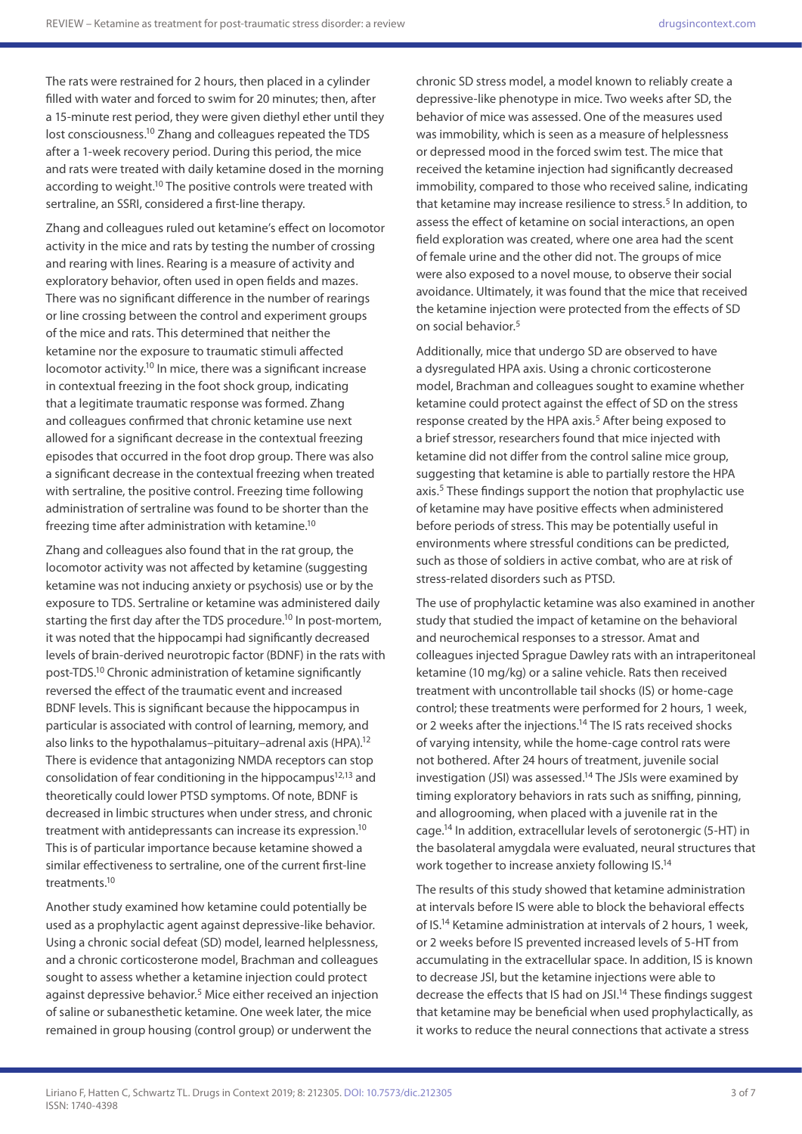The rats were restrained for 2 hours, then placed in a cylinder filled with water and forced to swim for 20 minutes; then, after a 15-minute rest period, they were given diethyl ether until they lost consciousness.10 Zhang and colleagues repeated the TDS after a 1-week recovery period. During this period, the mice and rats were treated with daily ketamine dosed in the morning according to weight.<sup>10</sup> The positive controls were treated with sertraline, an SSRI, considered a first-line therapy.

Zhang and colleagues ruled out ketamine's effect on locomotor activity in the mice and rats by testing the number of crossing and rearing with lines. Rearing is a measure of activity and exploratory behavior, often used in open fields and mazes. There was no significant difference in the number of rearings or line crossing between the control and experiment groups of the mice and rats. This determined that neither the ketamine nor the exposure to traumatic stimuli affected locomotor activity.<sup>10</sup> In mice, there was a significant increase in contextual freezing in the foot shock group, indicating that a legitimate traumatic response was formed. Zhang and colleagues confirmed that chronic ketamine use next allowed for a significant decrease in the contextual freezing episodes that occurred in the foot drop group. There was also a significant decrease in the contextual freezing when treated with sertraline, the positive control. Freezing time following administration of sertraline was found to be shorter than the freezing time after administration with ketamine.10

Zhang and colleagues also found that in the rat group, the locomotor activity was not affected by ketamine (suggesting ketamine was not inducing anxiety or psychosis) use or by the exposure to TDS. Sertraline or ketamine was administered daily starting the first day after the TDS procedure.<sup>10</sup> In post-mortem, it was noted that the hippocampi had significantly decreased levels of brain-derived neurotropic factor (BDNF) in the rats with post-TDS.10 Chronic administration of ketamine significantly reversed the effect of the traumatic event and increased BDNF levels. This is significant because the hippocampus in particular is associated with control of learning, memory, and also links to the hypothalamus–pituitary–adrenal axis (HPA).12 There is evidence that antagonizing NMDA receptors can stop consolidation of fear conditioning in the hippocampus<sup>12,13</sup> and theoretically could lower PTSD symptoms. Of note, BDNF is decreased in limbic structures when under stress, and chronic treatment with antidepressants can increase its expression.<sup>10</sup> This is of particular importance because ketamine showed a similar effectiveness to sertraline, one of the current first-line treatments<sup>10</sup>

Another study examined how ketamine could potentially be used as a prophylactic agent against depressive-like behavior. Using a chronic social defeat (SD) model, learned helplessness, and a chronic corticosterone model, Brachman and colleagues sought to assess whether a ketamine injection could protect against depressive behavior.<sup>5</sup> Mice either received an injection of saline or subanesthetic ketamine. One week later, the mice remained in group housing (control group) or underwent the

chronic SD stress model, a model known to reliably create a depressive-like phenotype in mice. Two weeks after SD, the behavior of mice was assessed. One of the measures used was immobility, which is seen as a measure of helplessness or depressed mood in the forced swim test. The mice that received the ketamine injection had significantly decreased immobility, compared to those who received saline, indicating that ketamine may increase resilience to stress.<sup>5</sup> In addition, to assess the effect of ketamine on social interactions, an open field exploration was created, where one area had the scent of female urine and the other did not. The groups of mice were also exposed to a novel mouse, to observe their social avoidance. Ultimately, it was found that the mice that received the ketamine injection were protected from the effects of SD on social behavior.<sup>5</sup>

Additionally, mice that undergo SD are observed to have a dysregulated HPA axis. Using a chronic corticosterone model, Brachman and colleagues sought to examine whether ketamine could protect against the effect of SD on the stress response created by the HPA axis.<sup>5</sup> After being exposed to a brief stressor, researchers found that mice injected with ketamine did not differ from the control saline mice group, suggesting that ketamine is able to partially restore the HPA axis.<sup>5</sup> These findings support the notion that prophylactic use of ketamine may have positive effects when administered before periods of stress. This may be potentially useful in environments where stressful conditions can be predicted, such as those of soldiers in active combat, who are at risk of stress-related disorders such as PTSD.

The use of prophylactic ketamine was also examined in another study that studied the impact of ketamine on the behavioral and neurochemical responses to a stressor. Amat and colleagues injected Sprague Dawley rats with an intraperitoneal ketamine (10 mg/kg) or a saline vehicle. Rats then received treatment with uncontrollable tail shocks (IS) or home-cage control; these treatments were performed for 2 hours, 1 week, or 2 weeks after the injections.14 The IS rats received shocks of varying intensity, while the home-cage control rats were not bothered. After 24 hours of treatment, juvenile social investigation (JSI) was assessed.<sup>14</sup> The JSIs were examined by timing exploratory behaviors in rats such as sniffing, pinning, and allogrooming, when placed with a juvenile rat in the cage.14 In addition, extracellular levels of serotonergic (5-HT) in the basolateral amygdala were evaluated, neural structures that work together to increase anxiety following IS.14

The results of this study showed that ketamine administration at intervals before IS were able to block the behavioral effects of IS.14 Ketamine administration at intervals of 2 hours, 1 week, or 2 weeks before IS prevented increased levels of 5-HT from accumulating in the extracellular space. In addition, IS is known to decrease JSI, but the ketamine injections were able to decrease the effects that IS had on JSI.14 These findings suggest that ketamine may be beneficial when used prophylactically, as it works to reduce the neural connections that activate a stress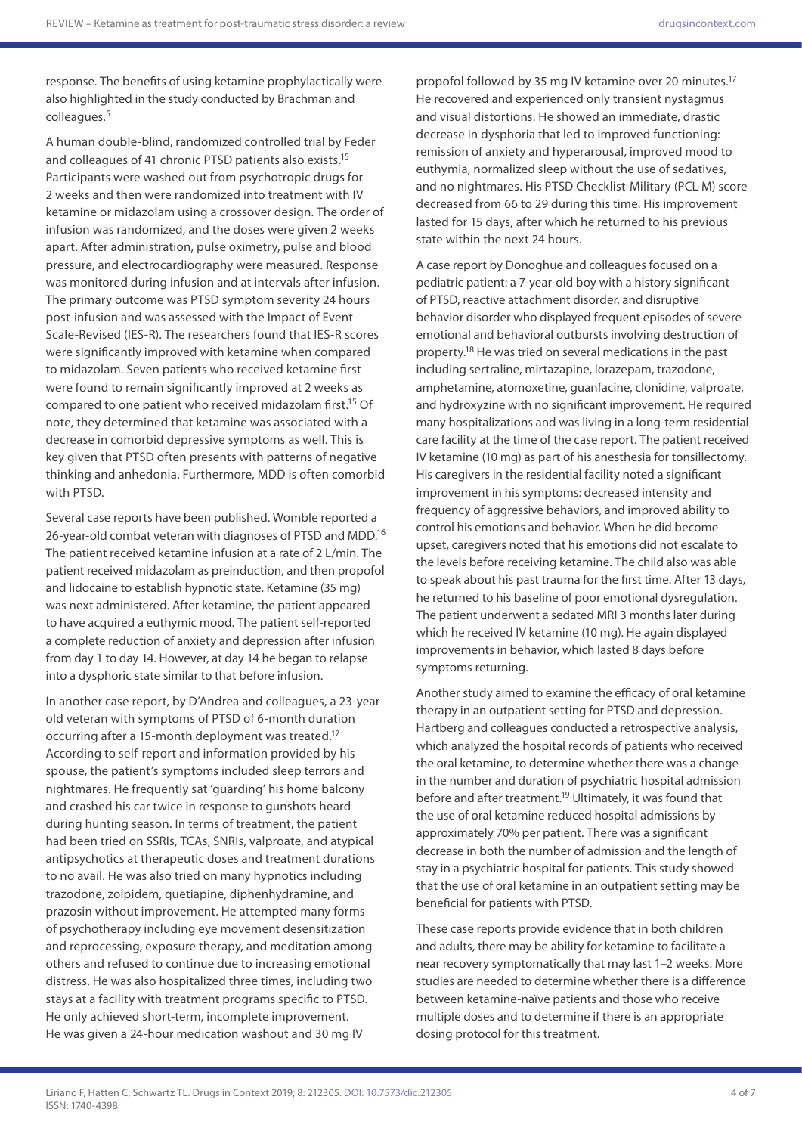response. The benefits of using ketamine prophylactically were also highlighted in the study conducted by Brachman and colleagues.<sup>5</sup>

A human double-blind, randomized controlled trial by Feder and colleagues of 41 chronic PTSD patients also exists.15 Participants were washed out from psychotropic drugs for 2 weeks and then were randomized into treatment with IV ketamine or midazolam using a crossover design. The order of infusion was randomized, and the doses were given 2 weeks apart. After administration, pulse oximetry, pulse and blood pressure, and electrocardiography were measured. Response was monitored during infusion and at intervals after infusion. The primary outcome was PTSD symptom severity 24 hours post-infusion and was assessed with the Impact of Event Scale-Revised (IES-R). The researchers found that IES-R scores were significantly improved with ketamine when compared to midazolam. Seven patients who received ketamine first were found to remain significantly improved at 2 weeks as compared to one patient who received midazolam first.15 Of note, they determined that ketamine was associated with a decrease in comorbid depressive symptoms as well. This is key given that PTSD often presents with patterns of negative thinking and anhedonia. Furthermore, MDD is often comorbid with PTSD.

Several case reports have been published. Womble reported a 26-year-old combat veteran with diagnoses of PTSD and MDD.<sup>16</sup> The patient received ketamine infusion at a rate of 2 L/min. The patient received midazolam as preinduction, and then propofol and lidocaine to establish hypnotic state. Ketamine (35 mg) was next administered. After ketamine, the patient appeared to have acquired a euthymic mood. The patient self-reported a complete reduction of anxiety and depression after infusion from day 1 to day 14. However, at day 14 he began to relapse into a dysphoric state similar to that before infusion.

In another case report, by D'Andrea and colleagues, a 23-yearold veteran with symptoms of PTSD of 6-month duration occurring after a 15-month deployment was treated.17 According to self-report and information provided by his spouse, the patient's symptoms included sleep terrors and nightmares. He frequently sat 'guarding' his home balcony and crashed his car twice in response to gunshots heard during hunting season. In terms of treatment, the patient had been tried on SSRIs, TCAs, SNRIs, valproate, and atypical antipsychotics at therapeutic doses and treatment durations to no avail. He was also tried on many hypnotics including trazodone, zolpidem, quetiapine, diphenhydramine, and prazosin without improvement. He attempted many forms of psychotherapy including eye movement desensitization and reprocessing, exposure therapy, and meditation among others and refused to continue due to increasing emotional distress. He was also hospitalized three times, including two stays at a facility with treatment programs specific to PTSD. He only achieved short-term, incomplete improvement. He was given a 24-hour medication washout and 30 mg IV

propofol followed by 35 mg IV ketamine over 20 minutes.<sup>17</sup> He recovered and experienced only transient nystagmus and visual distortions. He showed an immediate, drastic decrease in dysphoria that led to improved functioning: remission of anxiety and hyperarousal, improved mood to euthymia, normalized sleep without the use of sedatives, and no nightmares. His PTSD Checklist-Military (PCL-M) score decreased from 66 to 29 during this time. His improvement lasted for 15 days, after which he returned to his previous state within the next 24 hours.

A case report by Donoghue and colleagues focused on a pediatric patient: a 7-year-old boy with a history significant of PTSD, reactive attachment disorder, and disruptive behavior disorder who displayed frequent episodes of severe emotional and behavioral outbursts involving destruction of property.18 He was tried on several medications in the past including sertraline, mirtazapine, lorazepam, trazodone, amphetamine, atomoxetine, guanfacine, clonidine, valproate, and hydroxyzine with no significant improvement. He required many hospitalizations and was living in a long-term residential care facility at the time of the case report. The patient received IV ketamine (10 mg) as part of his anesthesia for tonsillectomy. His caregivers in the residential facility noted a significant improvement in his symptoms: decreased intensity and frequency of aggressive behaviors, and improved ability to control his emotions and behavior. When he did become upset, caregivers noted that his emotions did not escalate to the levels before receiving ketamine. The child also was able to speak about his past trauma for the first time. After 13 days, he returned to his baseline of poor emotional dysregulation. The patient underwent a sedated MRI 3 months later during which he received IV ketamine (10 mg). He again displayed improvements in behavior, which lasted 8 days before symptoms returning.

Another study aimed to examine the efficacy of oral ketamine therapy in an outpatient setting for PTSD and depression. Hartberg and colleagues conducted a retrospective analysis, which analyzed the hospital records of patients who received the oral ketamine, to determine whether there was a change in the number and duration of psychiatric hospital admission before and after treatment.<sup>19</sup> Ultimately, it was found that the use of oral ketamine reduced hospital admissions by approximately 70% per patient. There was a significant decrease in both the number of admission and the length of stay in a psychiatric hospital for patients. This study showed that the use of oral ketamine in an outpatient setting may be beneficial for patients with PTSD.

These case reports provide evidence that in both children and adults, there may be ability for ketamine to facilitate a near recovery symptomatically that may last 1–2 weeks. More studies are needed to determine whether there is a difference between ketamine-naïve patients and those who receive multiple doses and to determine if there is an appropriate dosing protocol for this treatment.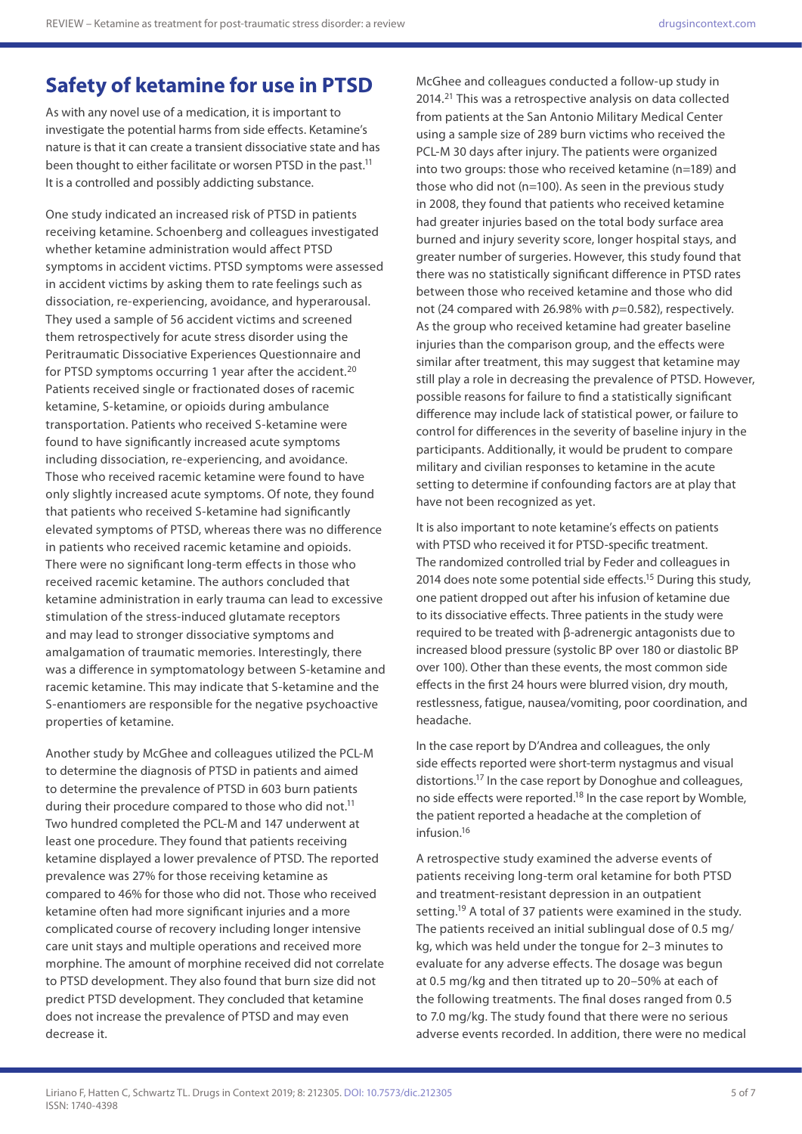## **Safety of ketamine for use in PTSD**

As with any novel use of a medication, it is important to investigate the potential harms from side effects. Ketamine's nature is that it can create a transient dissociative state and has been thought to either facilitate or worsen PTSD in the past.<sup>11</sup> It is a controlled and possibly addicting substance.

One study indicated an increased risk of PTSD in patients receiving ketamine. Schoenberg and colleagues investigated whether ketamine administration would affect PTSD symptoms in accident victims. PTSD symptoms were assessed in accident victims by asking them to rate feelings such as dissociation, re-experiencing, avoidance, and hyperarousal. They used a sample of 56 accident victims and screened them retrospectively for acute stress disorder using the Peritraumatic Dissociative Experiences Questionnaire and for PTSD symptoms occurring 1 year after the accident.<sup>20</sup> Patients received single or fractionated doses of racemic ketamine, S-ketamine, or opioids during ambulance transportation. Patients who received S-ketamine were found to have significantly increased acute symptoms including dissociation, re-experiencing, and avoidance. Those who received racemic ketamine were found to have only slightly increased acute symptoms. Of note, they found that patients who received S-ketamine had significantly elevated symptoms of PTSD, whereas there was no difference in patients who received racemic ketamine and opioids. There were no significant long-term effects in those who received racemic ketamine. The authors concluded that ketamine administration in early trauma can lead to excessive stimulation of the stress-induced glutamate receptors and may lead to stronger dissociative symptoms and amalgamation of traumatic memories. Interestingly, there was a difference in symptomatology between S-ketamine and racemic ketamine. This may indicate that S-ketamine and the S-enantiomers are responsible for the negative psychoactive properties of ketamine.

Another study by McGhee and colleagues utilized the PCL-M to determine the diagnosis of PTSD in patients and aimed to determine the prevalence of PTSD in 603 burn patients during their procedure compared to those who did not.<sup>11</sup> Two hundred completed the PCL-M and 147 underwent at least one procedure. They found that patients receiving ketamine displayed a lower prevalence of PTSD. The reported prevalence was 27% for those receiving ketamine as compared to 46% for those who did not. Those who received ketamine often had more significant injuries and a more complicated course of recovery including longer intensive care unit stays and multiple operations and received more morphine. The amount of morphine received did not correlate to PTSD development. They also found that burn size did not predict PTSD development. They concluded that ketamine does not increase the prevalence of PTSD and may even decrease it.

McGhee and colleagues conducted a follow-up study in 2014.21 This was a retrospective analysis on data collected from patients at the San Antonio Military Medical Center using a sample size of 289 burn victims who received the PCL-M 30 days after injury. The patients were organized into two groups: those who received ketamine (n=189) and those who did not (n=100). As seen in the previous study in 2008, they found that patients who received ketamine had greater injuries based on the total body surface area burned and injury severity score, longer hospital stays, and greater number of surgeries. However, this study found that there was no statistically significant difference in PTSD rates between those who received ketamine and those who did not (24 compared with 26.98% with *p*=0.582), respectively. As the group who received ketamine had greater baseline injuries than the comparison group, and the effects were similar after treatment, this may suggest that ketamine may still play a role in decreasing the prevalence of PTSD. However, possible reasons for failure to find a statistically significant difference may include lack of statistical power, or failure to control for differences in the severity of baseline injury in the participants. Additionally, it would be prudent to compare military and civilian responses to ketamine in the acute setting to determine if confounding factors are at play that have not been recognized as yet.

It is also important to note ketamine's effects on patients with PTSD who received it for PTSD-specific treatment. The randomized controlled trial by Feder and colleagues in 2014 does note some potential side effects.<sup>15</sup> During this study, one patient dropped out after his infusion of ketamine due to its dissociative effects. Three patients in the study were required to be treated with β-adrenergic antagonists due to increased blood pressure (systolic BP over 180 or diastolic BP over 100). Other than these events, the most common side effects in the first 24 hours were blurred vision, dry mouth, restlessness, fatigue, nausea/vomiting, poor coordination, and headache.

In the case report by D'Andrea and colleagues, the only side effects reported were short-term nystagmus and visual distortions.17 In the case report by Donoghue and colleagues, no side effects were reported.<sup>18</sup> In the case report by Womble, the patient reported a headache at the completion of infusion.16

A retrospective study examined the adverse events of patients receiving long-term oral ketamine for both PTSD and treatment-resistant depression in an outpatient setting.<sup>19</sup> A total of 37 patients were examined in the study. The patients received an initial sublingual dose of 0.5 mg/ kg, which was held under the tongue for 2–3 minutes to evaluate for any adverse effects. The dosage was begun at 0.5 mg/kg and then titrated up to 20–50% at each of the following treatments. The final doses ranged from 0.5 to 7.0 mg/kg. The study found that there were no serious adverse events recorded. In addition, there were no medical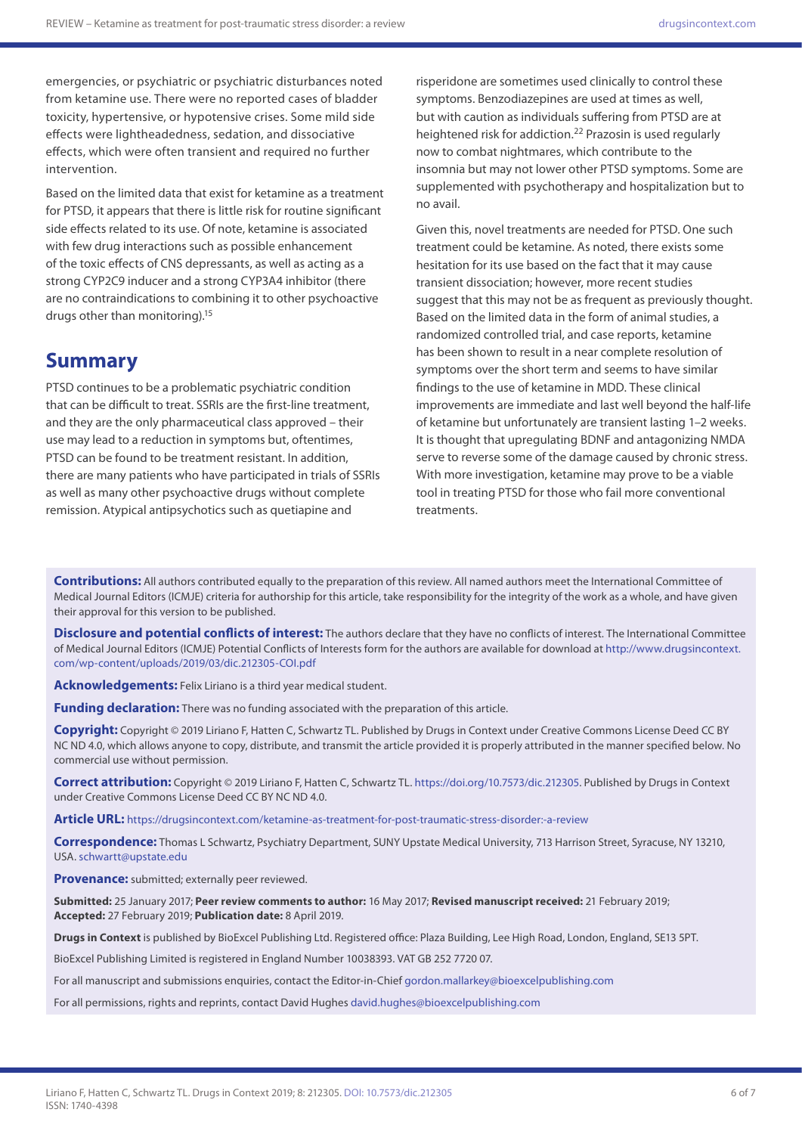emergencies, or psychiatric or psychiatric disturbances noted from ketamine use. There were no reported cases of bladder toxicity, hypertensive, or hypotensive crises. Some mild side effects were lightheadedness, sedation, and dissociative effects, which were often transient and required no further intervention.

Based on the limited data that exist for ketamine as a treatment for PTSD, it appears that there is little risk for routine significant side effects related to its use. Of note, ketamine is associated with few drug interactions such as possible enhancement of the toxic effects of CNS depressants, as well as acting as a strong CYP2C9 inducer and a strong CYP3A4 inhibitor (there are no contraindications to combining it to other psychoactive drugs other than monitoring).15

### **Summary**

PTSD continues to be a problematic psychiatric condition that can be difficult to treat. SSRIs are the first-line treatment, and they are the only pharmaceutical class approved – their use may lead to a reduction in symptoms but, oftentimes, PTSD can be found to be treatment resistant. In addition, there are many patients who have participated in trials of SSRIs as well as many other psychoactive drugs without complete remission. Atypical antipsychotics such as quetiapine and

risperidone are sometimes used clinically to control these symptoms. Benzodiazepines are used at times as well, but with caution as individuals suffering from PTSD are at heightened risk for addiction.22 Prazosin is used regularly now to combat nightmares, which contribute to the insomnia but may not lower other PTSD symptoms. Some are supplemented with psychotherapy and hospitalization but to no avail.

Given this, novel treatments are needed for PTSD. One such treatment could be ketamine. As noted, there exists some hesitation for its use based on the fact that it may cause transient dissociation; however, more recent studies suggest that this may not be as frequent as previously thought. Based on the limited data in the form of animal studies, a randomized controlled trial, and case reports, ketamine has been shown to result in a near complete resolution of symptoms over the short term and seems to have similar findings to the use of ketamine in MDD. These clinical improvements are immediate and last well beyond the half-life of ketamine but unfortunately are transient lasting 1–2 weeks. It is thought that upregulating BDNF and antagonizing NMDA serve to reverse some of the damage caused by chronic stress. With more investigation, ketamine may prove to be a viable tool in treating PTSD for those who fail more conventional treatments.

**Contributions:** All authors contributed equally to the preparation of this review. All named authors meet the International Committee of Medical Journal Editors (ICMJE) criteria for authorship for this article, take responsibility for the integrity of the work as a whole, and have given their approval for this version to be published.

**Disclosure and potential conflicts of interest:** The authors declare that they have no conflicts of interest. The International Committee of Medical Journal Editors (ICMJE) Potential Conflicts of Interests form for the authors are available for download at [http://www.drugsincontext.](http://www.drugsincontext.com/wp-content/uploads/2019/03/dic.212305-COI.pdf) [com/wp-content/uploads/2019/03/dic.212305-COI.pdf](http://www.drugsincontext.com/wp-content/uploads/2019/03/dic.212305-COI.pdf)

**Acknowledgements:** Felix Liriano is a third year medical student.

**Funding declaration:** There was no funding associated with the preparation of this article.

**Copyright:** Copyright © 2019 Liriano F, Hatten C, Schwartz TL. Published by Drugs in Context under Creative Commons License Deed CC BY NC ND 4.0, which allows anyone to copy, distribute, and transmit the article provided it is properly attributed in the manner specified below. No commercial use without permission.

**Correct attribution:** Copyright © 2019 Liriano F, Hatten C, Schwartz TL. <https://doi.org/10.7573/dic.212305>. Published by Drugs in Context under Creative Commons License Deed CC BY NC ND 4.0.

**Article URL:** <https://drugsincontext.com/ketamine-as-treatment-for-post-traumatic-stress-disorder:-a-review>

**Correspondence:** Thomas L Schwartz, Psychiatry Department, SUNY Upstate Medical University, 713 Harrison Street, Syracuse, NY 13210, USA. [schwartt@upstate.edu](mailto:schwartt@upstate.edu)

**Provenance:** submitted; externally peer reviewed.

**Submitted:** 25 January 2017; **Peer review comments to author:** 16 May 2017; **Revised manuscript received:** 21 February 2019; **Accepted:** 27 February 2019; **Publication date:** 8 April 2019.

**Drugs in Context** is published by BioExcel Publishing Ltd. Registered office: Plaza Building, Lee High Road, London, England, SE13 5PT.

BioExcel Publishing Limited is registered in England Number 10038393. VAT GB 252 7720 07.

For all manuscript and submissions enquiries, contact the Editor-in-Chief [gordon.mallarkey@bioexcelpublishing.com](mailto:gordon.mallarkey@bioexcelpublishing.com)

For all permissions, rights and reprints, contact David Hughes [david.hughes@bioexcelpublishing.com](mailto:david.hughes@bioexcelpublishing.com)